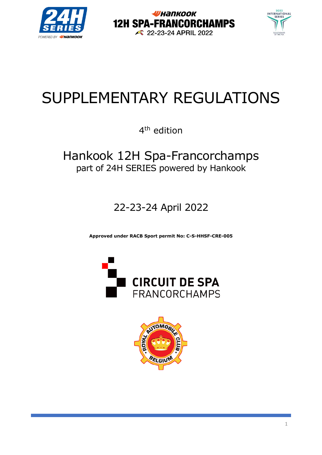





# SUPPLEMENTARY REGULATIONS

4<sup>th</sup> edition

# Hankook 12H Spa-Francorchamps part of 24H SERIES powered by Hankook

22-23-24 April 2022

**Approved under RACB Sport permit No: C-S-HHSF-CRE-005**



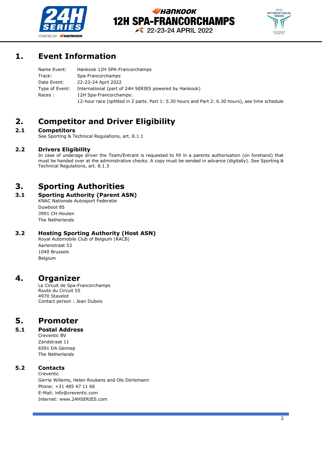



# **1. Event Information**

| Name Event:    | Hankook 12H SPA-Francorchamps                                                                    |
|----------------|--------------------------------------------------------------------------------------------------|
| Track:         | Spa-Francorchamps                                                                                |
| Date Event:    | 22-23-24 April 2022                                                                              |
| Type of Event: | International (part of 24H SERIES powered by Hankook)                                            |
| Races :        | 12H Spa-Francorchamps:                                                                           |
|                | 12-hour race (splitted in 2 parts. Part 1: 5.30 hours and Part 2: 6.30 hours), see time schedule |

# **2. Competitor and Driver Eligibility**

### **2.1 Competitors**

See Sporting & Technical Regulations, art. 8.1.1

### **2.2 Drivers Eligibility**

In case of underage driver the Team/Entrant is requested to fill in a parents authorisation (on forehand) that must be handed over at the administrative checks. A copy must be sended in advance (digitally). See Sporting & Technical Regulations, art. 8.1.3

# **3. Sporting Authorities**

### **3.1 Sporting Authority (Parent ASN)**

KNAC Nationale Autosport Federatie Duwboot 85 3991 CH Houten The Netherlands

### **3.2 Hosting Sporting Authority (Host ASN)**

Royal Automobile Club of Belgium (RACB) Aarlenstraat 53 1040 Brussels Belgium

### **4. Organizer**

Le Circuit de Spa-Francorchamps Route du Circuit 55 4970 Stavelot Contact person : Jean Dubois

# **5. Promoter**

### **5.1 Postal Address**

Creventic BV Zandstraat 11 6591 DA Gennep The Netherlands

### **5.2 Contacts**

Creventic Gerrie Willems, Helen Roukens and Ole Dörlemann Phone: +31 485 47 11 66 E-Mail: info@creventic.com Internet: www.24HSERIES.com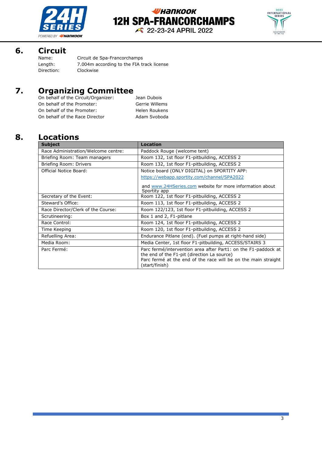



### **6. Circuit**

| Name:      | Circuit de Spa-Francorchamps              |
|------------|-------------------------------------------|
| Length:    | 7.004m according to the FIA track license |
| Direction: | Clockwise                                 |
|            |                                           |

# **7. Organizing Committee**

| On behalf of the Circuit/Organizer: | Jean Dubois          |
|-------------------------------------|----------------------|
| On behalf of the Promoter:          | Gerrie Willems       |
| On behalf of the Promoter:          | <b>Helen Roukens</b> |
| On behalf of the Race Director      | Adam Svoboda         |

# **8. Locations**

| <b>Subject</b>                      | <b>Location</b>                                                                                               |  |
|-------------------------------------|---------------------------------------------------------------------------------------------------------------|--|
| Race Administration/Welcome centre: | Paddock Rouge (welcome tent)                                                                                  |  |
| Briefing Room: Team managers        | Room 132, 1st floor F1-pitbuilding, ACCESS 2                                                                  |  |
| Briefing Room: Drivers              | Room 132, 1st floor F1-pitbuilding, ACCESS 2                                                                  |  |
| Official Notice Board:              | Notice board (ONLY DIGITAL) on SPORTITY APP:                                                                  |  |
|                                     | https://webapp.sportity.com/channel/SPA2022                                                                   |  |
|                                     | and www.24HSeries.com website for more information about<br>Sportity app                                      |  |
| Secretary of the Event:             | Room 122, 1st floor F1-pitbuilding, ACCESS 2                                                                  |  |
| Steward's Office:                   | Room 113, 1st floor F1-pitbuilding, ACCESS 2                                                                  |  |
| Race Director/Clerk of the Course:  | Room 122/123, 1st floor F1-pitbuilding, ACCESS 2                                                              |  |
| Scrutineering:                      | Box 1 and 2, F1-pitlane                                                                                       |  |
| Race Control:                       | Room 124, 1st floor F1-pitbuilding, ACCESS 2                                                                  |  |
| Time Keeping                        | Room 120, 1st floor F1-pitbuilding, ACCESS 2                                                                  |  |
| Refuelling Area:                    | Endurance Pitlane (end). (Fuel pumps at right-hand side)                                                      |  |
| Media Room:                         | Media Center, 1st floor F1-pitbuilding, ACCESS/STAIRS 3                                                       |  |
| Parc Fermé:                         | Parc fermé/intervention area after Part1: on the F1-paddock at<br>the end of the F1-pit (direction La source) |  |
|                                     | Parc fermé at the end of the race will be on the main straight<br>(start/finish)                              |  |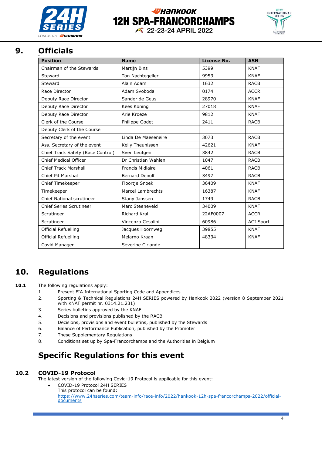

# **УНАПКООК 12H SPA-FRANCORCHAMPS**



22-23-24 APRIL 2022

#### **9. Officials** Rd

| <b>Position</b>                   | <b>Name</b>             | License No. | <b>ASN</b>       |
|-----------------------------------|-------------------------|-------------|------------------|
| Chairman of the Stewards          | Martijn Bins            | 5399        | <b>KNAF</b>      |
| Steward                           | Ton Nachtegeller        | 9953        | <b>KNAF</b>      |
| Steward                           | Alain Adam              | 1632        | <b>RACB</b>      |
| Race Director                     | Adam Svoboda            | 0174        | <b>ACCR</b>      |
| Deputy Race Director              | Sander de Geus          | 28970       | <b>KNAF</b>      |
| Deputy Race Director              | Kees Koning             | 27018       | <b>KNAF</b>      |
| Deputy Race Director              | Arie Kroeze             | 9812        | <b>KNAF</b>      |
| Clerk of the Course               | Philippe Godet          | 2411        | <b>RACB</b>      |
| Deputy Clerk of the Course        |                         |             |                  |
| Secretary of the event            | Linda De Maeseneire     | 3073        | <b>RACB</b>      |
| Ass. Secretary of the event       | Kelly Theunissen        | 42621       | <b>KNAF</b>      |
| Chief Track Safety (Race Control) | Sven Leufgen            | 3842        | <b>RACB</b>      |
| <b>Chief Medical Officer</b>      | Dr Christian Wahlen     | 1047        | <b>RACB</b>      |
| <b>Chief Track Marshall</b>       | <b>Francis Midlaire</b> | 4061        | <b>RACB</b>      |
| Chief Pit Marshal                 | <b>Bernard Denolf</b>   | 3497        | <b>RACB</b>      |
| Chief Timekeeper                  | Floortje Snoek          | 36409       | <b>KNAF</b>      |
| Timekeeper                        | Marcel Lambrechts       | 16387       | <b>KNAF</b>      |
| <b>Chief National scrutineer</b>  | Stany Janssen           | 1749        | <b>RACB</b>      |
| <b>Chief Series Scrutineer</b>    | Marc Steeneveld         | 34009       | <b>KNAF</b>      |
| Scrutineer                        | <b>Richard Kral</b>     | 22AF0007    | <b>ACCR</b>      |
| Scrutineer                        | Vincenzo Cesolini       | 60986       | <b>ACI Sport</b> |
| Official Refuelling               | Jacques Hoornweg        | 39855       | <b>KNAF</b>      |
| <b>Official Refuelling</b>        | Melarno Kraan           | 48334       | <b>KNAF</b>      |
| Covid Manager                     | Séverine Cirlande       |             |                  |

# **10. Regulations**

- 10.1 The following regulations apply:
	- 1. Present FIA International Sporting Code and Appendices
	- 2. Sporting & Technical Regulations 24H SERIES powered by Hankook 2022 (version 8 September 2021 with KNAF permit nr. 0314.21.231)
	- 3. Series bulletins approved by the KNAF
	- 4. Decisions and provisions published by the RACB
	- 5. Decisions, provisions and event bulletins, published by the Stewards
	- 6. Balance of Performance Publication, published by the Promoter
	- 7. These Supplementary Regulations
	- 8. Conditions set up by Spa-Francorchamps and the Authorities in Belgium

# **Specific Regulations for this event**

### **10.2 COVID-19 Protocol**

The latest version of the following Covid-19 Protocol is applicable for this event:

• COVID-19 Protocol 24H SERIES This protocol can be found: [https://www.24hseries.com/team-info/race-info/2022/hankook-12h-spa-francorchamps-2022/official](https://www.24hseries.com/team-info/race-info/2022/hankook-12h-spa-francorchamps-2022/official-documents)[documents](https://www.24hseries.com/team-info/race-info/2022/hankook-12h-spa-francorchamps-2022/official-documents)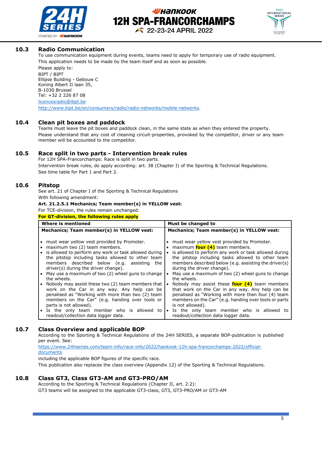



### **10.3 Radio Communication**

To use communication equipment during events, teams need to apply for temporary use of radio equipment. This application needs to be made by the team itself and as soon as possible.

Please apply to: BIPT / BIPT Ellipse Building - Gebouw C Koning Albert II laan 35, B-1030 Brussel Tel: +32 2 226 87 08 [licencesradio@ibpt.be](mailto:licencesradio@ibpt.be) [http://www.bipt.be/en/consumers/radio/radio-networks/mobile-networks.](https://emea01.safelinks.protection.outlook.com/?url=http%3A%2F%2Fwww.bipt.be%2Fen%2Fconsumers%2Fradio%2Fradio-networks%2Fmobile-networks&data=02%7C01%7Cemilie.max%40spa-francorchamps.be%7C61898bb7bba1463e2ae908d5cc65a1d3%7Cc2b5c90235a54e158e8afb9eb2fdc405%7C0%7C0%7C636639659236872327&sdata=acIipxRI8%2FtduVtGUXyYNyWjpN3saLELv0z1PJywpc8%3D&reserved=0)

#### **10.4 Clean pit boxes and paddock**

Teams must leave the pit boxes and paddock clean, in the same state as when they entered the property. Please understand that any cost of cleaning circuit-properties, provoked by the competitor, driver or any team member will be accounted to the competitor.

### **10.5 Race split in two parts - Intervention break rules**

For 12H SPA-Francorchamps: Race is split in two parts. Intervention break rules, do apply according: art. 38 (Chapter I) of the Sporting & Technical Regulations. See time table for Part 1 and Part 2.

### **10.6 Pitstop**

See art. 21 of Chapter I of the Sporting & Technical Regulations With following amendment:

### **Art. 21.2.5.1 Mechanics; Team member(s) in YELLOW vest:**

For TCE-division, the rules remain unchanged.

**For GT-division, the following rules apply**

| Where is mentioned                                                                                                                                                                                                                                                                                                                                                                                                      | Must be changed to                                                                                                                                                                                                                                                                                                                                                                                                                              |  |  |
|-------------------------------------------------------------------------------------------------------------------------------------------------------------------------------------------------------------------------------------------------------------------------------------------------------------------------------------------------------------------------------------------------------------------------|-------------------------------------------------------------------------------------------------------------------------------------------------------------------------------------------------------------------------------------------------------------------------------------------------------------------------------------------------------------------------------------------------------------------------------------------------|--|--|
| Mechanics; Team member(s) in YELLOW vest:                                                                                                                                                                                                                                                                                                                                                                               | Mechanics; Team member(s) in YELLOW vest:                                                                                                                                                                                                                                                                                                                                                                                                       |  |  |
| must wear yellow vest provided by Promoter.<br>maximum two (2) team members.<br>is allowed to perform any work or task allowed during<br>$\bullet$<br>the pitstop including tasks allowed to other team<br>members described below (e.g. assisting the<br>driver(s) during the driver change).<br>May use a maximum of two (2) wheel guns to change<br>the wheels.<br>Nobody may assist these two (2) team members that | must wear yellow vest provided by Promoter.<br>maximum <b>four (4)</b> team members.<br>is allowed to perform any work or task allowed during<br>$\bullet$<br>the pitstop including tasks allowed to other team<br>members described below (e.g. assisting the driver(s)<br>during the driver change).<br>May use a maximum of two (2) wheel guns to change<br>the wheels.<br>Nobody may assist these <b>four <math>(4)</math></b> team members |  |  |
| work on the Car in any way. Any help can be<br>penalised as "Working with more than two (2) team<br>members on the Car" (e.g. handing over tools or<br>parts is not allowed).<br>Is the only team member who is allowed to<br>readout/collection data logger data.                                                                                                                                                      | that work on the Car in any way. Any help can be<br>penalised as "Working with more than four (4) team<br>members on the Car" (e.g. handing over tools or parts<br>is not allowed).<br>Is the only team member who is allowed to<br>$\bullet$<br>readout/collection data logger data.                                                                                                                                                           |  |  |

### **10.7 Class Overview and applicable BOP**

According to the Sporting & Technical Regulations of the 24H SERIES, a separate BOP-publication is published per event. See:

[https://www.24hseries.com/team-info/race-info/2022/hankook-12h-spa-francorchamps-2022/official](https://www.24hseries.com/team-info/race-info/2022/hankook-12h-spa-francorchamps-2022/official-documents)[documents](https://www.24hseries.com/team-info/race-info/2022/hankook-12h-spa-francorchamps-2022/official-documents)

including the applicable BOP figures of the specific race.

This publication also replaces the class overview (Appendix 12) of the Sporting & Technical Regulations.

### **10.8 Class GT3, Class GT3-AM and GT3-PRO/AM**

According to the Sporting & Technical Regulations (Chapter II, art. 2.2): GT3 teams will be assigned to the applicable GT3-class, GT3, GT3-PRO/AM or GT3-AM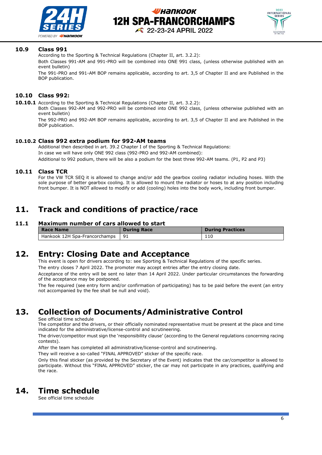



#### **10.9 Class 991**

According to the Sporting & Technical Regulations (Chapter II, art. 3.2.2):

Both Classes 991-AM and 991-PRO will be combined into ONE 991 class, (unless otherwise published with an event bulletin)

The 991-PRO and 991-AM BOP remains applicable, according to art. 3,5 of Chapter II and are Published in the BOP publication.

### **10.10 Class 992:**

**10.10.1** According to the Sporting & Technical Regulations (Chapter II, art. 3.2.2):

Both Classes 992-AM and 992-PRO will be combined into ONE 992 class, (unless otherwise published with an event bulletin)

The 992-PRO and 992-AM BOP remains applicable, according to art. 3,5 of Chapter II and are Published in the BOP publication.

#### **10.10.2 Class 992 extra podium for 992-AM teams**

Additional then described in art. 39.2 Chapter I of the Sporting & Technical Regulations: In case we will have only ONE 992 class (992-PRO and 992-AM combined): Additional to 992 podium, there will be also a podium for the best three 992-AM teams. (P1, P2 and P3)

#### **10.11 Class TCR**

For the VW TCR SEQ it is allowed to change and/or add the gearbox cooling radiator including hoses. With the sole purpose of better gearbox cooling. It is allowed to mount the radiator or hoses to at any position including front bumper. It is NOT allowed to modify or add (cooling) holes into the body work, including front bumper.

### **11. Track and conditions of practice/race**

#### **11.1 Maximum number of cars allowed to start**

| Race Name                     | <b>During Race</b> | <b>During Practices</b> |
|-------------------------------|--------------------|-------------------------|
| Hankook 12H Spa-Francorchamps | -91                | 110                     |

### **12. Entry: Closing Date and Acceptance**

This event is open for drivers according to: see Sporting & Technical Regulations of the specific series.

The entry closes 7 April 2022. The promoter may accept entries after the entry closing date.

Acceptance of the entry will be sent no later than 14 April 2022. Under particular circumstances the forwarding of the acceptance may be postponed.

The fee required (see entry form and/or confirmation of participating) has to be paid before the event (an entry not accompanied by the fee shall be null and void).

# **13. Collection of Documents/Administrative Control**

See official time schedule

The competitor and the drivers, or their officially nominated representative must be present at the place and time indicated for the administrative/license-control and scrutineering.

The driver/competitor must sign the 'responsibility clause' (according to the General regulations concerning racing contests).

After the team has completed all administrative/license-control and scrutineering.

They will receive a so-called "FINAL APPROVED" sticker of the specific race.

Only this final sticker (as provided by the Secretary of the Event) indicates that the car/competitor is allowed to participate. Without this "FINAL APPROVED" sticker, the car may not participate in any practices, qualifying and the race.

### **14. Time schedule**

See official time schedule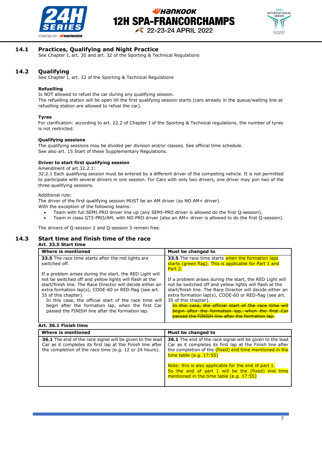



#### **14.1 Practices, Qualifying and Night Practice**

See Chapter I, art. 30 and art. 32 of the Sporting & Technical Regulations

### **14.2 Qualifying**

See Chapter I, art. 32 of the Sporting & Technical Regulations

#### **Refuelling**

Is NOT allowed to refuel the car during any qualifying session. The refuelling station will be open till the first qualifying session starts (cars already in the queue/waiting line at refuelling station are allowed to refuel the car).

#### **Tyres**

For clarification: according to art. 22.2 of Chapter I of the Sporting & Technical regulations, the number of tyres is not restricted.

#### **Qualifying sessions**

The qualifying sessions may be divided per division and/or classes. See official time schedule. See also art. 15 Start of these Supplementary Regulations.

#### **Driver to start first qualifying session**

Amendment of art.32.2.1:

32.2.1 Each qualifying session must be entered by a different driver of the competing vehicle. It is not permitted to participate with several drivers in one session. For Cars with only two drivers, one driver may join two of the three qualifying sessions.

Additional rule:

The driver of the first qualifying session MUST be an AM driver (so NO AM+ driver).

- With the exception of the following teams:
	- Team with full SEMI-PRO driver line up (any SEMI-PRO driver is allowed do the first Q-session).
	- Team in class GT3-PRO/AM, with NO PRO driver (also an AM+ driver is allowed to do the first Q-session).

The drivers of Q-session 2 and Q-session 3 remain free.

#### **14.3 Start time and finish time of the race Art. 33.5 Start time**

| Where is mentioned                                                                                                                                                                                                                                                                                                                                                                                                                   | Must be changed to                                                                                                                                                                                                                                                                                                                                                                                                                   |  |
|--------------------------------------------------------------------------------------------------------------------------------------------------------------------------------------------------------------------------------------------------------------------------------------------------------------------------------------------------------------------------------------------------------------------------------------|--------------------------------------------------------------------------------------------------------------------------------------------------------------------------------------------------------------------------------------------------------------------------------------------------------------------------------------------------------------------------------------------------------------------------------------|--|
| <b>33.5</b> The race time starts after the red lights are<br>switched off.                                                                                                                                                                                                                                                                                                                                                           | <b>33.5</b> The race time starts when the formation laps<br>starts (green flag). This is applicable for Part 1 and<br>Part 2.                                                                                                                                                                                                                                                                                                        |  |
| If a problem arises during the start, the RED Light will<br>not be switched off and yellow lights will flash at the<br>start/finish line. The Race Director will decide either an<br>extra formation lap(s), CODE-60 or RED-flag (see art.<br>35 of this chapter).<br>In this case, the official start of the race time will<br>begin after the formation lap, when the first Car<br>passed the FINISH line after the formation lap. | If a problem arises during the start, the RED Light will<br>not be switched off and yellow lights will flash at the<br>start/finish line. The Race Director will decide either an<br>extra formation lap(s), CODE-60 or RED-flag (see art.<br>35 of this chapter).<br>In this case, the official start of the race time will<br>begin after the formation lap, when the first Car<br>passed the FINISH line after the formation lap. |  |

#### **Art. 36.1 Finish time**

| Where is mentioned                                                                                                                                                                       | Must be changed to                                                                                                                                                                                                   |  |
|------------------------------------------------------------------------------------------------------------------------------------------------------------------------------------------|----------------------------------------------------------------------------------------------------------------------------------------------------------------------------------------------------------------------|--|
| <b>36.1</b> The end of the race signal will be given to the lead<br>Car as it completes its first lap at the Finish line after<br>the completion of the race time (e.g. 12 or 24 hours). | <b>36.1</b> The end of the race signal will be given to the lead<br>Car as it completes its first lap at the Finish line after<br>the completion of the (fixed) end time mentioned in the<br>time table (e.g. 17:55) |  |
|                                                                                                                                                                                          | Note: this is also applicable for the end of part 1.<br>So the end of part 1 will be the (fixed) end time<br>mentioned in the time table (e.g. 17:55)                                                                |  |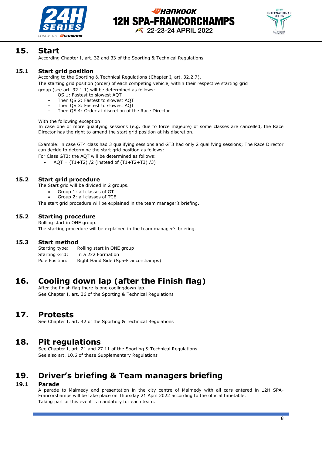



### **15. Start**

According Chapter I, art. 32 and 33 of the Sporting & Technical Regulations

### **15.1 Start grid position**

According to the Sporting & Technical Regulations (Chapter I, art. 32.2.7).

The starting grid position (order) of each competing vehicle, within their respective starting grid group (see art. 32.1.1) will be determined as follows:

- QS 1: Fastest to slowest AQT
- Then QS 2: Fastest to slowest AQT
- Then QS 3: Fastest to slowest AQT
- Then QS 4: Order at discretion of the Race Director

With the following exception:

In case one or more qualifying sessions (e.g. due to force majeure) of some classes are cancelled, the Race Director has the right to amend the start grid position at his discretion.

Example: in case GT4 class had 3 qualifying sessions and GT3 had only 2 qualifying sessions; The Race Director can decide to determine the start grid position as follows:

For Class GT3: the AQT will be determined as follows:

 $AQT = (T1+T2) / 2$  (instead of  $(T1+T2+T3) / 3$ )

### **15.2 Start grid procedure**

The Start grid will be divided in 2 groups.

- Group 1: all classes of GT
- Group 2: all classes of TCE

The start grid procedure will be explained in the team manager's briefing.

### **15.2 Starting procedure**

Rolling start in ONE group. The starting procedure will be explained in the team manager's briefing.

### **15.3 Start method**

Starting type: Rolling start in ONE group Starting Grid: In a 2x2 Formation Pole Position: Right Hand Side (Spa-Francorchamps)

# **16. Cooling down lap (after the Finish flag)**

After the finish flag there is one coolingdown lap. See Chapter I, art. 36 of the Sporting & Technical Regulations

### **17. Protests**

See Chapter I, art. 42 of the Sporting & Technical Regulations

### **18. Pit regulations**

See Chapter I, art. 21 and 27.11 of the Sporting & Technical Regulations See also art. 10.6 of these Supplementary Regulations

# **19. Driver's briefing & Team managers briefing**

### **19.1 Parade**

A parade to Malmedy and presentation in the city centre of Malmedy with all cars entered in 12H SPA-Francorshamps will be take place on Thursday 21 April 2022 according to the official timetable. Taking part of this event is mandatory for each team.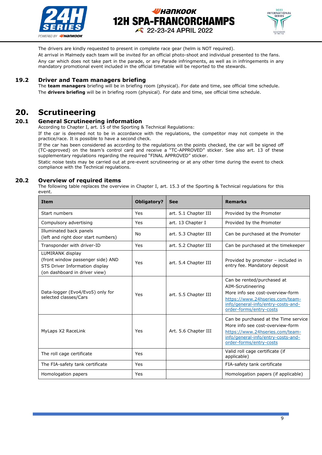



The drivers are kindly requested to present in complete race gear (helm is NOT required). At arrival in Malmedy each team will be invited for an official photo-shoot and individual presented to the fans. Any car which does not take part in the parade, or any Parade infringments, as well as in infringements in any mandatory promotional event included in the official timetable will be reported to the stewards.

### **19.2 Driver and Team managers briefing**

The **team managers** briefing will be in briefing room (physical). For date and time, see official time schedule. The **drivers briefing** will be in briefing room (physical). For date and time, see official time schedule.

# **20. Scrutineering**

### **20.1 General Scrutineering information**

According to Chapter I, art. 15 of the Sporting & Technical Regulations:

If the car is deemed not to be in accordance with the regulations, the competitor may not compete in the practice/race. It is possible to have a second check.

If the car has been considered as according to the regulations on the points checked, the car will be signed off (TC-approved) on the team's control card and receive a "TC-APPROVED" sticker. See also art. 13 of these supplementary regulations regarding the required "FINAL APPROVED" sticker.

Static noise tests may be carried out at pre-event scrutineering or at any other time during the event to check compliance with the Technical regulations.

#### **20.2 Overview of required items**

The following table replaces the overview in Chapter I, art. 15.3 of the Sporting & Technical regulations for this event.

| <b>Item</b>                                                                                                              | <b>Obligatory?</b> | <b>See</b>           | <b>Remarks</b>                                                                                                                                                                          |
|--------------------------------------------------------------------------------------------------------------------------|--------------------|----------------------|-----------------------------------------------------------------------------------------------------------------------------------------------------------------------------------------|
| Start numbers                                                                                                            | Yes                | art. 5.1 Chapter III | Provided by the Promoter                                                                                                                                                                |
| Compulsory advertising                                                                                                   | Yes                | art. 13 Chapter I    | Provided by the Promoter                                                                                                                                                                |
| Illuminated back panels<br>(left and right door start numbers)                                                           | No                 | art. 5.3 Chapter III | Can be purchased at the Promoter                                                                                                                                                        |
| Transponder with driver-ID                                                                                               | Yes                | art. 5.2 Chapter III | Can be purchased at the timekeeper                                                                                                                                                      |
| LUMIRANK display<br>(front window passenger side) AND<br>STS Driver Information display<br>(on dashboard in driver view) | Yes                | art. 5.4 Chapter III | Provided by promoter – included in<br>entry fee. Mandatory deposit                                                                                                                      |
| Data-logger (Evo4/Evo5) only for<br>selected classes/Cars                                                                | Yes                | art. 5.5 Chapter III | Can be rented/purchased at<br>AIM-Scrutineering<br>More info see cost-overview-form<br>https://www.24hseries.com/team-<br>info/general-info/entry-costs-and-<br>order-forms/entry-costs |
| MyLaps X2 RaceLink                                                                                                       | Yes                | Art. 5.6 Chapter III | Can be purchased at the Time service<br>More info see cost-overview-form<br>https://www.24hseries.com/team-<br>info/general-info/entry-costs-and-<br>order-forms/entry-costs            |
| The roll cage certificate                                                                                                | Yes                |                      | Valid roll cage certificate (if<br>applicable)                                                                                                                                          |
| The FIA-safety tank certificate                                                                                          | Yes                |                      | FIA-safety tank certificate                                                                                                                                                             |
| Homologation papers                                                                                                      | Yes                |                      | Homologation papers (if applicable)                                                                                                                                                     |